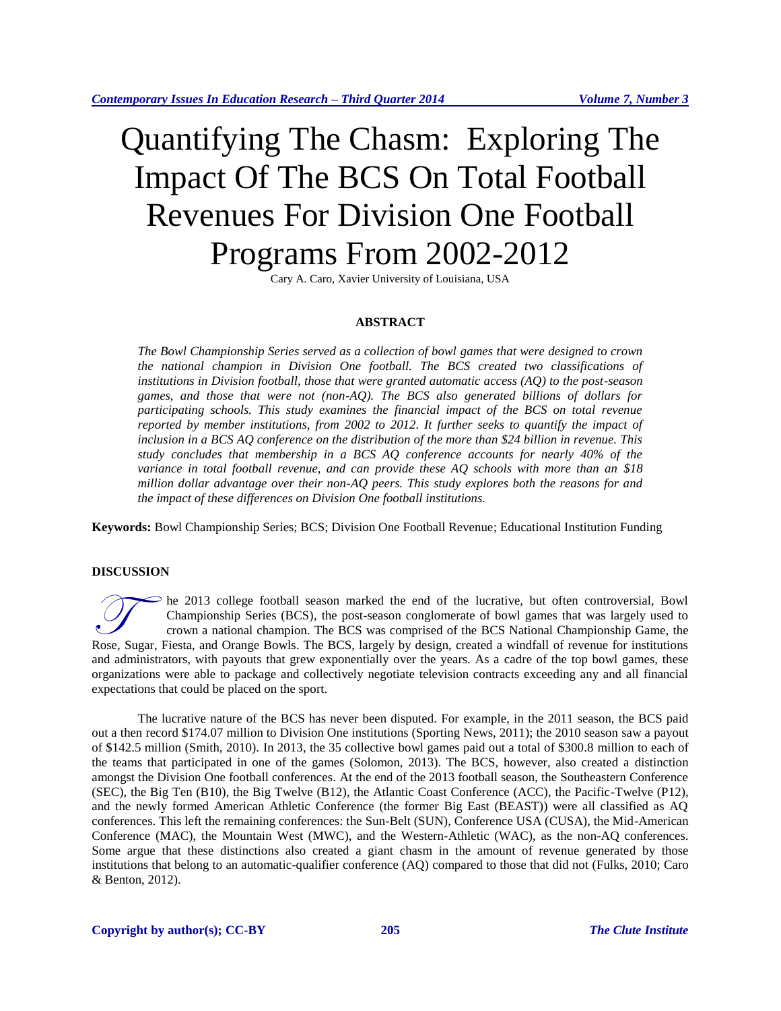# Quantifying The Chasm: Exploring The Impact Of The BCS On Total Football Revenues For Division One Football Programs From 2002-2012

Cary A. Caro, Xavier University of Louisiana, USA

### **ABSTRACT**

*The Bowl Championship Series served as a collection of bowl games that were designed to crown the national champion in Division One football. The BCS created two classifications of institutions in Division football, those that were granted automatic access (AQ) to the post-season games, and those that were not (non-AQ). The BCS also generated billions of dollars for participating schools. This study examines the financial impact of the BCS on total revenue reported by member institutions, from 2002 to 2012. It further seeks to quantify the impact of inclusion in a BCS AQ conference on the distribution of the more than \$24 billion in revenue. This study concludes that membership in a BCS AQ conference accounts for nearly 40% of the variance in total football revenue, and can provide these AQ schools with more than an \$18 million dollar advantage over their non-AQ peers. This study explores both the reasons for and the impact of these differences on Division One football institutions.*

**Keywords:** Bowl Championship Series; BCS; Division One Football Revenue; Educational Institution Funding

# **DISCUSSION**

he 2013 college football season marked the end of the lucrative, but often controversial, Bowl Championship Series (BCS), the post-season conglomerate of bowl games that was largely used to crown a national champion. The BCS was comprised of the BCS National Championship Game, the The 2013 college football season marked the end of the lucrative, but often controversial, Bowl<br>Championship Series (BCS), the post-season conglomerate of bowl games that was largely used to<br>crown a national champion. The and administrators, with payouts that grew exponentially over the years. As a cadre of the top bowl games, these organizations were able to package and collectively negotiate television contracts exceeding any and all financial expectations that could be placed on the sport.

The lucrative nature of the BCS has never been disputed. For example, in the 2011 season, the BCS paid out a then record \$174.07 million to Division One institutions (Sporting News, 2011); the 2010 season saw a payout of \$142.5 million (Smith, 2010). In 2013, the 35 collective bowl games paid out a total of \$300.8 million to each of the teams that participated in one of the games (Solomon, 2013). The BCS, however, also created a distinction amongst the Division One football conferences. At the end of the 2013 football season, the Southeastern Conference (SEC), the Big Ten (B10), the Big Twelve (B12), the Atlantic Coast Conference (ACC), the Pacific-Twelve (P12), and the newly formed American Athletic Conference (the former Big East (BEAST)) were all classified as AQ conferences. This left the remaining conferences: the Sun-Belt (SUN), Conference USA (CUSA), the Mid-American Conference (MAC), the Mountain West (MWC), and the Western-Athletic (WAC), as the non-AQ conferences. Some argue that these distinctions also created a giant chasm in the amount of revenue generated by those institutions that belong to an automatic-qualifier conference (AQ) compared to those that did not (Fulks, 2010; Caro & Benton, 2012).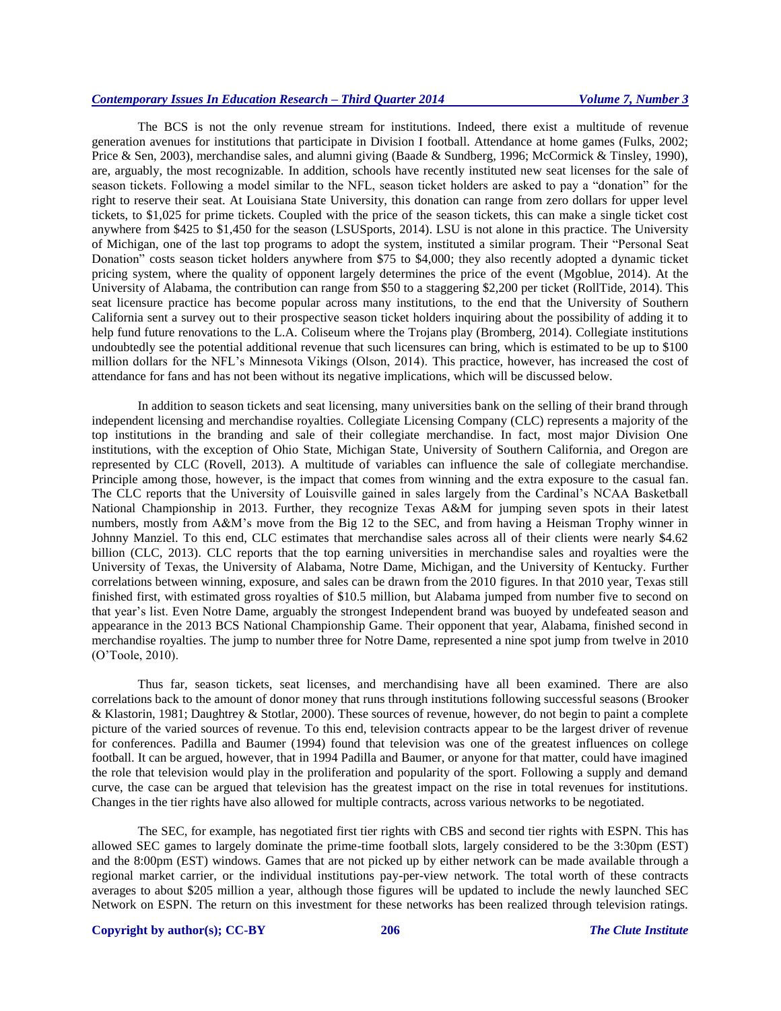The BCS is not the only revenue stream for institutions. Indeed, there exist a multitude of revenue generation avenues for institutions that participate in Division I football. Attendance at home games (Fulks, 2002; Price & Sen, 2003), merchandise sales, and alumni giving (Baade & Sundberg, 1996; McCormick & Tinsley, 1990), are, arguably, the most recognizable. In addition, schools have recently instituted new seat licenses for the sale of season tickets. Following a model similar to the NFL, season ticket holders are asked to pay a "donation" for the right to reserve their seat. At Louisiana State University, this donation can range from zero dollars for upper level tickets, to \$1,025 for prime tickets. Coupled with the price of the season tickets, this can make a single ticket cost anywhere from \$425 to \$1,450 for the season (LSUSports, 2014). LSU is not alone in this practice. The University of Michigan, one of the last top programs to adopt the system, instituted a similar program. Their "Personal Seat Donation" costs season ticket holders anywhere from \$75 to \$4,000; they also recently adopted a dynamic ticket pricing system, where the quality of opponent largely determines the price of the event (Mgoblue, 2014). At the University of Alabama, the contribution can range from \$50 to a staggering \$2,200 per ticket (RollTide, 2014). This seat licensure practice has become popular across many institutions, to the end that the University of Southern California sent a survey out to their prospective season ticket holders inquiring about the possibility of adding it to help fund future renovations to the L.A. Coliseum where the Trojans play (Bromberg, 2014). Collegiate institutions undoubtedly see the potential additional revenue that such licensures can bring, which is estimated to be up to \$100 million dollars for the NFL's Minnesota Vikings (Olson, 2014). This practice, however, has increased the cost of attendance for fans and has not been without its negative implications, which will be discussed below.

In addition to season tickets and seat licensing, many universities bank on the selling of their brand through independent licensing and merchandise royalties. Collegiate Licensing Company (CLC) represents a majority of the top institutions in the branding and sale of their collegiate merchandise. In fact, most major Division One institutions, with the exception of Ohio State, Michigan State, University of Southern California, and Oregon are represented by CLC (Rovell, 2013). A multitude of variables can influence the sale of collegiate merchandise. Principle among those, however, is the impact that comes from winning and the extra exposure to the casual fan. The CLC reports that the University of Louisville gained in sales largely from the Cardinal's NCAA Basketball National Championship in 2013. Further, they recognize Texas A&M for jumping seven spots in their latest numbers, mostly from A&M's move from the Big 12 to the SEC, and from having a Heisman Trophy winner in Johnny Manziel. To this end, CLC estimates that merchandise sales across all of their clients were nearly \$4.62 billion (CLC, 2013). CLC reports that the top earning universities in merchandise sales and royalties were the University of Texas, the University of Alabama, Notre Dame, Michigan, and the University of Kentucky. Further correlations between winning, exposure, and sales can be drawn from the 2010 figures. In that 2010 year, Texas still finished first, with estimated gross royalties of \$10.5 million, but Alabama jumped from number five to second on that year's list. Even Notre Dame, arguably the strongest Independent brand was buoyed by undefeated season and appearance in the 2013 BCS National Championship Game. Their opponent that year, Alabama, finished second in merchandise royalties. The jump to number three for Notre Dame, represented a nine spot jump from twelve in 2010 (O'Toole, 2010).

Thus far, season tickets, seat licenses, and merchandising have all been examined. There are also correlations back to the amount of donor money that runs through institutions following successful seasons (Brooker & Klastorin, 1981; Daughtrey & Stotlar, 2000). These sources of revenue, however, do not begin to paint a complete picture of the varied sources of revenue. To this end, television contracts appear to be the largest driver of revenue for conferences. Padilla and Baumer (1994) found that television was one of the greatest influences on college football. It can be argued, however, that in 1994 Padilla and Baumer, or anyone for that matter, could have imagined the role that television would play in the proliferation and popularity of the sport. Following a supply and demand curve, the case can be argued that television has the greatest impact on the rise in total revenues for institutions. Changes in the tier rights have also allowed for multiple contracts, across various networks to be negotiated.

The SEC, for example, has negotiated first tier rights with CBS and second tier rights with ESPN. This has allowed SEC games to largely dominate the prime-time football slots, largely considered to be the 3:30pm (EST) and the 8:00pm (EST) windows. Games that are not picked up by either network can be made available through a regional market carrier, or the individual institutions pay-per-view network. The total worth of these contracts averages to about \$205 million a year, although those figures will be updated to include the newly launched SEC Network on ESPN. The return on this investment for these networks has been realized through television ratings.

# **Copyright by author(s)[; CC-BY](http://creativecommons.org/licenses/by/3.0/) 206** *[The Clute Institute](http://www.cluteinstitute.com/)*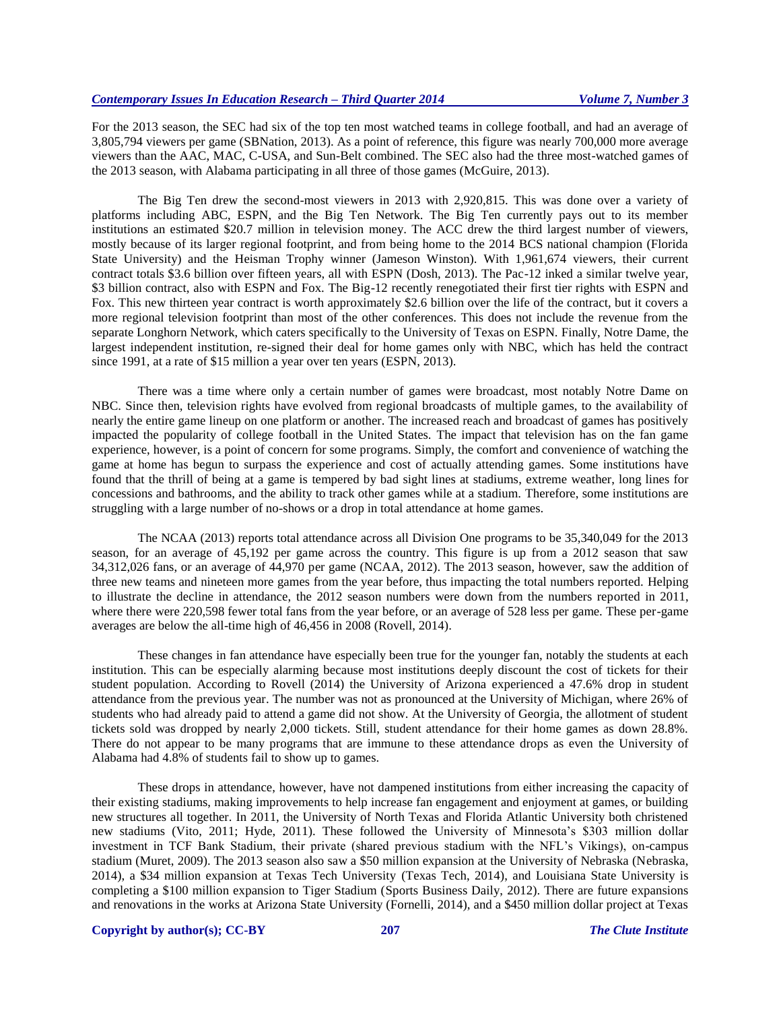For the 2013 season, the SEC had six of the top ten most watched teams in college football, and had an average of 3,805,794 viewers per game (SBNation, 2013). As a point of reference, this figure was nearly 700,000 more average viewers than the AAC, MAC, C-USA, and Sun-Belt combined. The SEC also had the three most-watched games of the 2013 season, with Alabama participating in all three of those games (McGuire, 2013).

The Big Ten drew the second-most viewers in 2013 with 2,920,815. This was done over a variety of platforms including ABC, ESPN, and the Big Ten Network. The Big Ten currently pays out to its member institutions an estimated \$20.7 million in television money. The ACC drew the third largest number of viewers, mostly because of its larger regional footprint, and from being home to the 2014 BCS national champion (Florida State University) and the Heisman Trophy winner (Jameson Winston). With 1,961,674 viewers, their current contract totals \$3.6 billion over fifteen years, all with ESPN (Dosh, 2013). The Pac-12 inked a similar twelve year, \$3 billion contract, also with ESPN and Fox. The Big-12 recently renegotiated their first tier rights with ESPN and Fox. This new thirteen year contract is worth approximately \$2.6 billion over the life of the contract, but it covers a more regional television footprint than most of the other conferences. This does not include the revenue from the separate Longhorn Network, which caters specifically to the University of Texas on ESPN. Finally, Notre Dame, the largest independent institution, re-signed their deal for home games only with NBC, which has held the contract since 1991, at a rate of \$15 million a year over ten years (ESPN, 2013).

There was a time where only a certain number of games were broadcast, most notably Notre Dame on NBC. Since then, television rights have evolved from regional broadcasts of multiple games, to the availability of nearly the entire game lineup on one platform or another. The increased reach and broadcast of games has positively impacted the popularity of college football in the United States. The impact that television has on the fan game experience, however, is a point of concern for some programs. Simply, the comfort and convenience of watching the game at home has begun to surpass the experience and cost of actually attending games. Some institutions have found that the thrill of being at a game is tempered by bad sight lines at stadiums, extreme weather, long lines for concessions and bathrooms, and the ability to track other games while at a stadium. Therefore, some institutions are struggling with a large number of no-shows or a drop in total attendance at home games.

The NCAA (2013) reports total attendance across all Division One programs to be 35,340,049 for the 2013 season, for an average of 45,192 per game across the country. This figure is up from a 2012 season that saw 34,312,026 fans, or an average of 44,970 per game (NCAA, 2012). The 2013 season, however, saw the addition of three new teams and nineteen more games from the year before, thus impacting the total numbers reported. Helping to illustrate the decline in attendance, the 2012 season numbers were down from the numbers reported in 2011, where there were 220,598 fewer total fans from the year before, or an average of 528 less per game. These per-game averages are below the all-time high of 46,456 in 2008 (Rovell, 2014).

These changes in fan attendance have especially been true for the younger fan, notably the students at each institution. This can be especially alarming because most institutions deeply discount the cost of tickets for their student population. According to Rovell (2014) the University of Arizona experienced a 47.6% drop in student attendance from the previous year. The number was not as pronounced at the University of Michigan, where 26% of students who had already paid to attend a game did not show. At the University of Georgia, the allotment of student tickets sold was dropped by nearly 2,000 tickets. Still, student attendance for their home games as down 28.8%. There do not appear to be many programs that are immune to these attendance drops as even the University of Alabama had 4.8% of students fail to show up to games.

These drops in attendance, however, have not dampened institutions from either increasing the capacity of their existing stadiums, making improvements to help increase fan engagement and enjoyment at games, or building new structures all together. In 2011, the University of North Texas and Florida Atlantic University both christened new stadiums (Vito, 2011; Hyde, 2011). These followed the University of Minnesota's \$303 million dollar investment in TCF Bank Stadium, their private (shared previous stadium with the NFL's Vikings), on-campus stadium (Muret, 2009). The 2013 season also saw a \$50 million expansion at the University of Nebraska (Nebraska, 2014), a \$34 million expansion at Texas Tech University (Texas Tech, 2014), and Louisiana State University is completing a \$100 million expansion to Tiger Stadium (Sports Business Daily, 2012). There are future expansions and renovations in the works at Arizona State University (Fornelli, 2014), and a \$450 million dollar project at Texas

# **Copyright by author(s)[; CC-BY](http://creativecommons.org/licenses/by/3.0/) 207** *[The Clute Institute](http://www.cluteinstitute.com/)*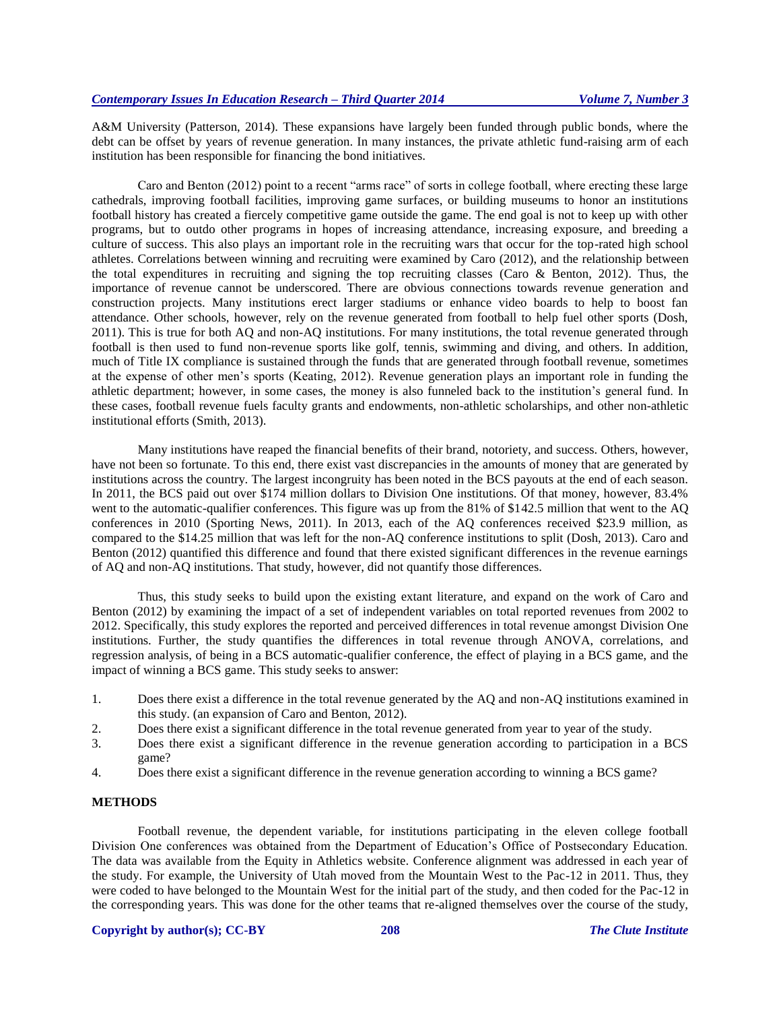A&M University (Patterson, 2014). These expansions have largely been funded through public bonds, where the debt can be offset by years of revenue generation. In many instances, the private athletic fund-raising arm of each institution has been responsible for financing the bond initiatives.

Caro and Benton (2012) point to a recent "arms race" of sorts in college football, where erecting these large cathedrals, improving football facilities, improving game surfaces, or building museums to honor an institutions football history has created a fiercely competitive game outside the game. The end goal is not to keep up with other programs, but to outdo other programs in hopes of increasing attendance, increasing exposure, and breeding a culture of success. This also plays an important role in the recruiting wars that occur for the top-rated high school athletes. Correlations between winning and recruiting were examined by Caro (2012), and the relationship between the total expenditures in recruiting and signing the top recruiting classes (Caro & Benton, 2012). Thus, the importance of revenue cannot be underscored. There are obvious connections towards revenue generation and construction projects. Many institutions erect larger stadiums or enhance video boards to help to boost fan attendance. Other schools, however, rely on the revenue generated from football to help fuel other sports (Dosh, 2011). This is true for both AQ and non-AQ institutions. For many institutions, the total revenue generated through football is then used to fund non-revenue sports like golf, tennis, swimming and diving, and others. In addition, much of Title IX compliance is sustained through the funds that are generated through football revenue, sometimes at the expense of other men's sports (Keating, 2012). Revenue generation plays an important role in funding the athletic department; however, in some cases, the money is also funneled back to the institution's general fund. In these cases, football revenue fuels faculty grants and endowments, non-athletic scholarships, and other non-athletic institutional efforts (Smith, 2013).

Many institutions have reaped the financial benefits of their brand, notoriety, and success. Others, however, have not been so fortunate. To this end, there exist vast discrepancies in the amounts of money that are generated by institutions across the country. The largest incongruity has been noted in the BCS payouts at the end of each season. In 2011, the BCS paid out over \$174 million dollars to Division One institutions. Of that money, however, 83.4% went to the automatic-qualifier conferences. This figure was up from the 81% of \$142.5 million that went to the AQ conferences in 2010 (Sporting News, 2011). In 2013, each of the AQ conferences received \$23.9 million, as compared to the \$14.25 million that was left for the non-AQ conference institutions to split (Dosh, 2013). Caro and Benton (2012) quantified this difference and found that there existed significant differences in the revenue earnings of AQ and non-AQ institutions. That study, however, did not quantify those differences.

Thus, this study seeks to build upon the existing extant literature, and expand on the work of Caro and Benton (2012) by examining the impact of a set of independent variables on total reported revenues from 2002 to 2012. Specifically, this study explores the reported and perceived differences in total revenue amongst Division One institutions. Further, the study quantifies the differences in total revenue through ANOVA, correlations, and regression analysis, of being in a BCS automatic-qualifier conference, the effect of playing in a BCS game, and the impact of winning a BCS game. This study seeks to answer:

- 1. Does there exist a difference in the total revenue generated by the AQ and non-AQ institutions examined in this study. (an expansion of Caro and Benton, 2012).
- 2. Does there exist a significant difference in the total revenue generated from year to year of the study.
- 3. Does there exist a significant difference in the revenue generation according to participation in a BCS game?
- 4. Does there exist a significant difference in the revenue generation according to winning a BCS game?

# **METHODS**

Football revenue, the dependent variable, for institutions participating in the eleven college football Division One conferences was obtained from the Department of Education's Office of Postsecondary Education. The data was available from the Equity in Athletics website. Conference alignment was addressed in each year of the study. For example, the University of Utah moved from the Mountain West to the Pac-12 in 2011. Thus, they were coded to have belonged to the Mountain West for the initial part of the study, and then coded for the Pac-12 in the corresponding years. This was done for the other teams that re-aligned themselves over the course of the study,

# **Copyright by author(s)[; CC-BY](http://creativecommons.org/licenses/by/3.0/) 208** *[The Clute Institute](http://www.cluteinstitute.com/)*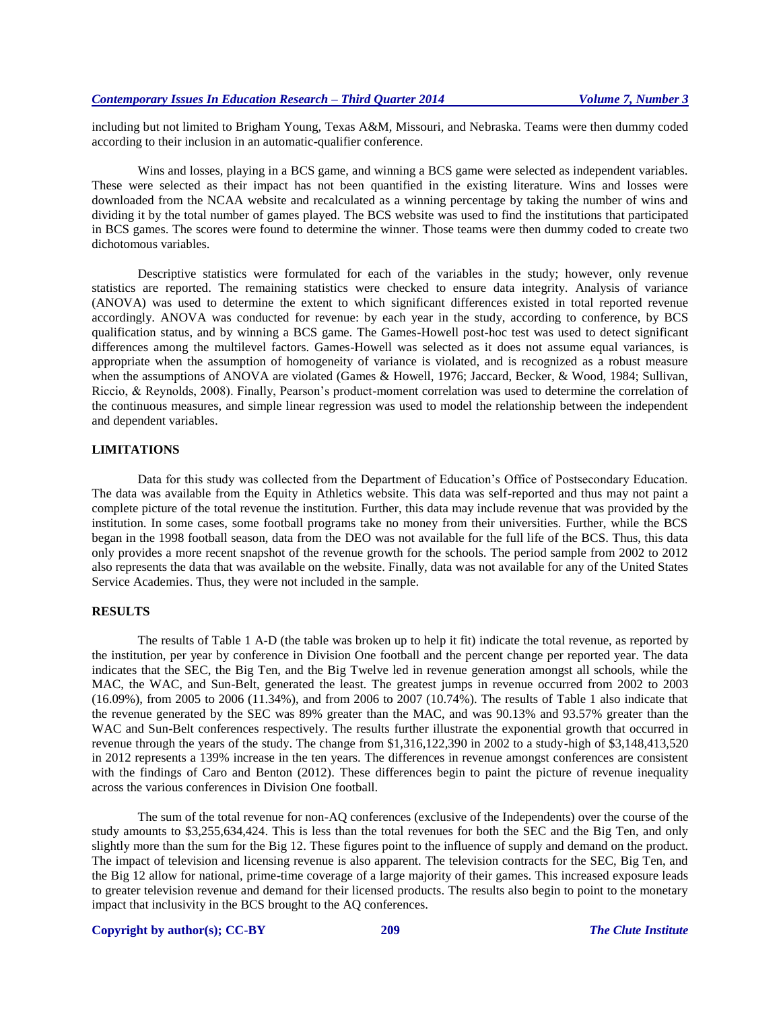including but not limited to Brigham Young, Texas A&M, Missouri, and Nebraska. Teams were then dummy coded according to their inclusion in an automatic-qualifier conference.

Wins and losses, playing in a BCS game, and winning a BCS game were selected as independent variables. These were selected as their impact has not been quantified in the existing literature. Wins and losses were downloaded from the NCAA website and recalculated as a winning percentage by taking the number of wins and dividing it by the total number of games played. The BCS website was used to find the institutions that participated in BCS games. The scores were found to determine the winner. Those teams were then dummy coded to create two dichotomous variables.

Descriptive statistics were formulated for each of the variables in the study; however, only revenue statistics are reported. The remaining statistics were checked to ensure data integrity. Analysis of variance (ANOVA) was used to determine the extent to which significant differences existed in total reported revenue accordingly. ANOVA was conducted for revenue: by each year in the study, according to conference, by BCS qualification status, and by winning a BCS game. The Games-Howell post-hoc test was used to detect significant differences among the multilevel factors. Games-Howell was selected as it does not assume equal variances, is appropriate when the assumption of homogeneity of variance is violated, and is recognized as a robust measure when the assumptions of ANOVA are violated (Games & Howell, 1976; Jaccard, Becker, & Wood, 1984; Sullivan, Riccio, & Reynolds, 2008). Finally, Pearson's product-moment correlation was used to determine the correlation of the continuous measures, and simple linear regression was used to model the relationship between the independent and dependent variables.

# **LIMITATIONS**

Data for this study was collected from the Department of Education's Office of Postsecondary Education. The data was available from the Equity in Athletics website. This data was self-reported and thus may not paint a complete picture of the total revenue the institution. Further, this data may include revenue that was provided by the institution. In some cases, some football programs take no money from their universities. Further, while the BCS began in the 1998 football season, data from the DEO was not available for the full life of the BCS. Thus, this data only provides a more recent snapshot of the revenue growth for the schools. The period sample from 2002 to 2012 also represents the data that was available on the website. Finally, data was not available for any of the United States Service Academies. Thus, they were not included in the sample.

# **RESULTS**

The results of Table 1 A-D (the table was broken up to help it fit) indicate the total revenue, as reported by the institution, per year by conference in Division One football and the percent change per reported year. The data indicates that the SEC, the Big Ten, and the Big Twelve led in revenue generation amongst all schools, while the MAC, the WAC, and Sun-Belt, generated the least. The greatest jumps in revenue occurred from 2002 to 2003 (16.09%), from 2005 to 2006 (11.34%), and from 2006 to 2007 (10.74%). The results of Table 1 also indicate that the revenue generated by the SEC was 89% greater than the MAC, and was 90.13% and 93.57% greater than the WAC and Sun-Belt conferences respectively. The results further illustrate the exponential growth that occurred in revenue through the years of the study. The change from \$1,316,122,390 in 2002 to a study-high of \$3,148,413,520 in 2012 represents a 139% increase in the ten years. The differences in revenue amongst conferences are consistent with the findings of Caro and Benton (2012). These differences begin to paint the picture of revenue inequality across the various conferences in Division One football.

The sum of the total revenue for non-AQ conferences (exclusive of the Independents) over the course of the study amounts to \$3,255,634,424. This is less than the total revenues for both the SEC and the Big Ten, and only slightly more than the sum for the Big 12. These figures point to the influence of supply and demand on the product. The impact of television and licensing revenue is also apparent. The television contracts for the SEC, Big Ten, and the Big 12 allow for national, prime-time coverage of a large majority of their games. This increased exposure leads to greater television revenue and demand for their licensed products. The results also begin to point to the monetary impact that inclusivity in the BCS brought to the AQ conferences.

# **Copyright by author(s)[; CC-BY](http://creativecommons.org/licenses/by/3.0/) 209** *[The Clute Institute](http://www.cluteinstitute.com/)*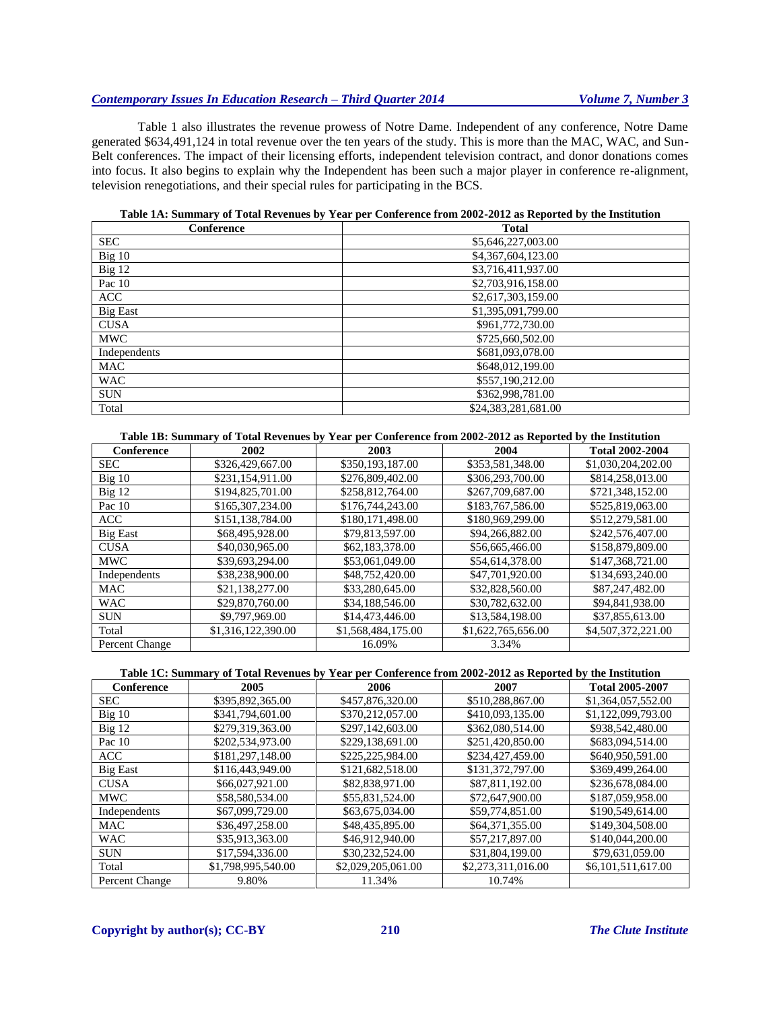Table 1 also illustrates the revenue prowess of Notre Dame. Independent of any conference, Notre Dame generated \$634,491,124 in total revenue over the ten years of the study. This is more than the MAC, WAC, and Sun-Belt conferences. The impact of their licensing efforts, independent television contract, and donor donations comes into focus. It also begins to explain why the Independent has been such a major player in conference re-alignment, television renegotiations, and their special rules for participating in the BCS.

| Conference      | <b>Total</b>        |
|-----------------|---------------------|
| <b>SEC</b>      | \$5,646,227,003.00  |
| Big 10          | \$4,367,604,123.00  |
| Big 12          | \$3,716,411,937.00  |
| Pac 10          | \$2,703,916,158.00  |
| <b>ACC</b>      | \$2,617,303,159.00  |
| <b>Big East</b> | \$1,395,091,799.00  |
| <b>CUSA</b>     | \$961,772,730.00    |
| <b>MWC</b>      | \$725,660,502.00    |
| Independents    | \$681,093,078.00    |
| <b>MAC</b>      | \$648,012,199.00    |
| <b>WAC</b>      | \$557,190,212.00    |
| <b>SUN</b>      | \$362,998,781.00    |
| Total           | \$24,383,281,681.00 |

# **Table 1A: Summary of Total Revenues by Year per Conference from 2002-2012 as Reported by the Institution**

**Table 1B: Summary of Total Revenues by Year per Conference from 2002-2012 as Reported by the Institution**

| Conference      | 2002               | 2003               | 2004               | <b>Total 2002-2004</b> |
|-----------------|--------------------|--------------------|--------------------|------------------------|
| <b>SEC</b>      | \$326,429,667.00   | \$350,193,187.00   | \$353,581,348.00   | \$1,030,204,202.00     |
| $Big$ 10        | \$231,154,911.00   | \$276,809,402.00   | \$306,293,700.00   | \$814,258,013.00       |
| Big 12          | \$194,825,701.00   | \$258,812,764.00   | \$267,709,687.00   | \$721,348,152.00       |
| Pac 10          | \$165,307,234.00   | \$176,744,243.00   | \$183,767,586.00   | \$525,819,063.00       |
| <b>ACC</b>      | \$151,138,784.00   | \$180,171,498.00   | \$180,969,299.00   | \$512,279,581.00       |
| <b>Big East</b> | \$68,495,928.00    | \$79,813,597.00    | \$94,266,882.00    | \$242,576,407.00       |
| <b>CUSA</b>     | \$40,030,965.00    | \$62,183,378.00    | \$56,665,466.00    | \$158,879,809.00       |
| <b>MWC</b>      | \$39,693,294.00    | \$53,061,049.00    | \$54,614,378.00    | \$147,368,721.00       |
| Independents    | \$38,238,900.00    | \$48,752,420.00    | \$47,701,920.00    | \$134,693,240.00       |
| <b>MAC</b>      | \$21,138,277.00    | \$33,280,645.00    | \$32,828,560.00    | \$87,247,482.00        |
| <b>WAC</b>      | \$29,870,760.00    | \$34,188,546.00    | \$30,782,632.00    | \$94,841,938.00        |
| <b>SUN</b>      | \$9,797,969.00     | \$14,473,446.00    | \$13,584,198.00    | \$37,855,613.00        |
| Total           | \$1,316,122,390.00 | \$1,568,484,175.00 | \$1,622,765,656.00 | \$4,507,372,221.00     |
| Percent Change  |                    | 16.09%             | 3.34%              |                        |

#### **Table 1C: Summary of Total Revenues by Year per Conference from 2002-2012 as Reported by the Institution**

| Conference      | 2005               | 2006               | 2007               | <b>Total 2005-2007</b> |
|-----------------|--------------------|--------------------|--------------------|------------------------|
| <b>SEC</b>      | \$395,892,365.00   | \$457,876,320.00   | \$510,288,867.00   | \$1,364,057,552.00     |
| Big 10          | \$341,794,601.00   | \$370,212,057.00   | \$410,093,135.00   | \$1,122,099,793.00     |
| $Big$ 12        | \$279,319,363.00   | \$297,142,603.00   | \$362,080,514.00   | \$938,542,480.00       |
| Pac 10          | \$202,534,973.00   | \$229,138,691.00   | \$251,420,850.00   | \$683,094,514.00       |
| <b>ACC</b>      | \$181,297,148.00   | \$225,225,984.00   | \$234,427,459.00   | \$640,950,591.00       |
| <b>Big East</b> | \$116,443,949.00   | \$121,682,518.00   | \$131,372,797.00   | \$369,499,264.00       |
| <b>CUSA</b>     | \$66,027,921.00    | \$82,838,971.00    | \$87,811,192.00    | \$236,678,084.00       |
| <b>MWC</b>      | \$58,580,534.00    | \$55,831,524.00    | \$72,647,900.00    | \$187,059,958.00       |
| Independents    | \$67,099,729.00    | \$63,675,034.00    | \$59,774,851.00    | \$190,549,614.00       |
| <b>MAC</b>      | \$36,497,258.00    | \$48,435,895.00    | \$64,371,355.00    | \$149,304,508.00       |
| <b>WAC</b>      | \$35,913,363.00    | \$46,912,940.00    | \$57,217,897.00    | \$140,044,200.00       |
| <b>SUN</b>      | \$17,594,336.00    | \$30,232,524.00    | \$31,804,199.00    | \$79,631,059.00        |
| Total           | \$1,798,995,540.00 | \$2,029,205,061.00 | \$2,273,311,016.00 | \$6,101,511,617.00     |
| Percent Change  | 9.80%              | 11.34%             | 10.74%             |                        |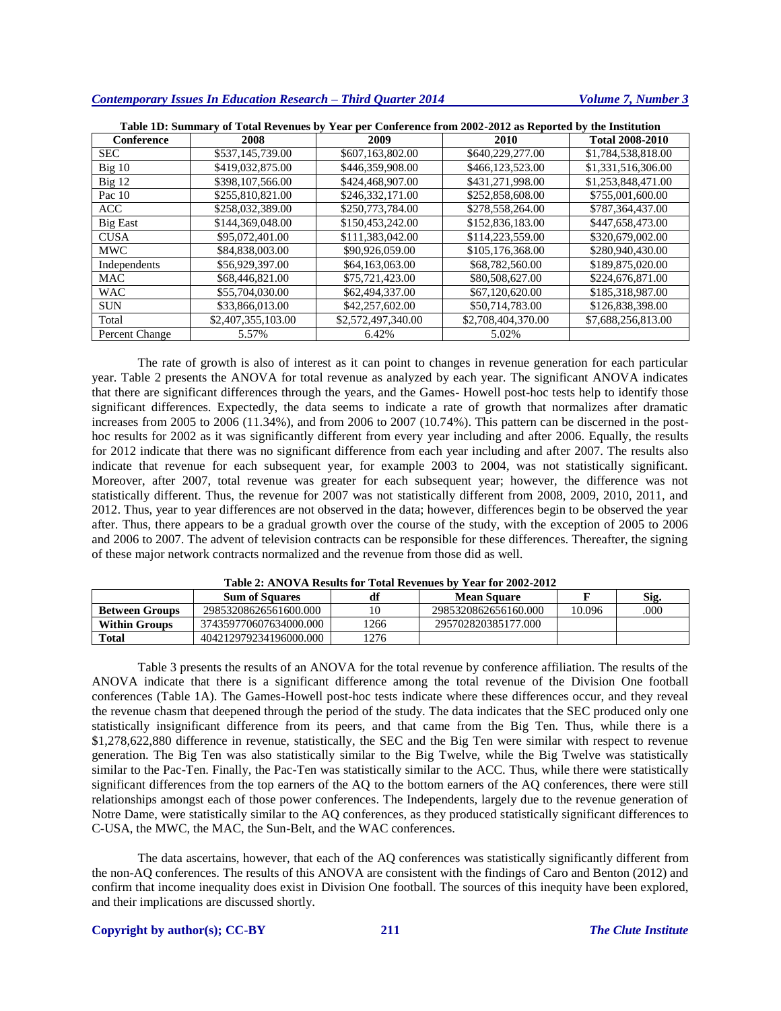| Table 1D: Summary of Total Revenues by Year per Conference from 2002-2012 as Reported by the Institution |                    |                    |                    |                        |  |  |  |  |  |
|----------------------------------------------------------------------------------------------------------|--------------------|--------------------|--------------------|------------------------|--|--|--|--|--|
| Conference                                                                                               | 2008               | 2009               | 2010               | <b>Total 2008-2010</b> |  |  |  |  |  |
| <b>SEC</b>                                                                                               | \$537,145,739.00   | \$607,163,802.00   | \$640,229,277.00   | \$1,784,538,818.00     |  |  |  |  |  |
| $Big$ 10                                                                                                 | \$419,032,875.00   | \$446,359,908.00   | \$466,123,523.00   | \$1,331,516,306.00     |  |  |  |  |  |
| Big 12                                                                                                   | \$398,107,566.00   | \$424,468,907.00   | \$431,271,998.00   | \$1,253,848,471.00     |  |  |  |  |  |
| Pac 10                                                                                                   | \$255,810,821.00   | \$246,332,171.00   | \$252,858,608.00   | \$755,001,600.00       |  |  |  |  |  |
| <b>ACC</b>                                                                                               | \$258,032,389.00   | \$250,773,784.00   | \$278,558,264.00   | \$787,364,437.00       |  |  |  |  |  |
| <b>Big East</b>                                                                                          | \$144,369,048.00   | \$150,453,242.00   | \$152,836,183.00   | \$447,658,473.00       |  |  |  |  |  |
| <b>CUSA</b>                                                                                              | \$95,072,401.00    | \$111,383,042.00   | \$114,223,559.00   | \$320,679,002.00       |  |  |  |  |  |
| <b>MWC</b>                                                                                               | \$84,838,003.00    | \$90,926,059.00    | \$105,176,368.00   | \$280,940,430.00       |  |  |  |  |  |
| Independents                                                                                             | \$56,929,397.00    | \$64,163,063,00    | \$68,782,560.00    | \$189,875,020.00       |  |  |  |  |  |
| <b>MAC</b>                                                                                               | \$68,446,821.00    | \$75,721,423.00    | \$80,508,627.00    | \$224,676,871.00       |  |  |  |  |  |
| <b>WAC</b>                                                                                               | \$55,704,030.00    | \$62,494,337.00    | \$67,120,620.00    | \$185,318,987.00       |  |  |  |  |  |
| <b>SUN</b>                                                                                               | \$33,866,013.00    | \$42,257,602.00    | \$50,714,783.00    | \$126,838,398.00       |  |  |  |  |  |
| Total                                                                                                    | \$2,407,355,103.00 | \$2,572,497,340.00 | \$2,708,404,370.00 | \$7,688,256,813.00     |  |  |  |  |  |
| Percent Change                                                                                           | 5.57%              | 6.42%              | 5.02%              |                        |  |  |  |  |  |

The rate of growth is also of interest as it can point to changes in revenue generation for each particular year. Table 2 presents the ANOVA for total revenue as analyzed by each year. The significant ANOVA indicates that there are significant differences through the years, and the Games- Howell post-hoc tests help to identify those significant differences. Expectedly, the data seems to indicate a rate of growth that normalizes after dramatic increases from 2005 to 2006 (11.34%), and from 2006 to 2007 (10.74%). This pattern can be discerned in the posthoc results for 2002 as it was significantly different from every year including and after 2006. Equally, the results for 2012 indicate that there was no significant difference from each year including and after 2007. The results also indicate that revenue for each subsequent year, for example 2003 to 2004, was not statistically significant. Moreover, after 2007, total revenue was greater for each subsequent year; however, the difference was not statistically different. Thus, the revenue for 2007 was not statistically different from 2008, 2009, 2010, 2011, and 2012. Thus, year to year differences are not observed in the data; however, differences begin to be observed the year after. Thus, there appears to be a gradual growth over the course of the study, with the exception of 2005 to 2006 and 2006 to 2007. The advent of television contracts can be responsible for these differences. Thereafter, the signing of these major network contracts normalized and the revenue from those did as well.

| <b>Table 2: AINOVA Results for Total Revenues by Teal for 2002-2012</b> |                        |      |                      |        |      |  |  |  |  |  |  |
|-------------------------------------------------------------------------|------------------------|------|----------------------|--------|------|--|--|--|--|--|--|
|                                                                         | <b>Sum of Squares</b>  |      | <b>Mean Square</b>   |        | Sig. |  |  |  |  |  |  |
| <b>Between Groups</b>                                                   | 29853208626561600.000  |      | 2985320862656160.000 | 10.096 | .000 |  |  |  |  |  |  |
| <b>Within Groups</b>                                                    | 374359770607634000.000 | '266 | 295702820385177.000  |        |      |  |  |  |  |  |  |
| <b>Total</b>                                                            | 404212979234196000.000 | 1276 |                      |        |      |  |  |  |  |  |  |

| Table 2: ANOVA Results for Total Revenues by Year for 2002-2012 |  |  |  |  |  |  |  |  |  |
|-----------------------------------------------------------------|--|--|--|--|--|--|--|--|--|
|-----------------------------------------------------------------|--|--|--|--|--|--|--|--|--|

Table 3 presents the results of an ANOVA for the total revenue by conference affiliation. The results of the ANOVA indicate that there is a significant difference among the total revenue of the Division One football conferences (Table 1A). The Games-Howell post-hoc tests indicate where these differences occur, and they reveal the revenue chasm that deepened through the period of the study. The data indicates that the SEC produced only one statistically insignificant difference from its peers, and that came from the Big Ten. Thus, while there is a \$1,278,622,880 difference in revenue, statistically, the SEC and the Big Ten were similar with respect to revenue generation. The Big Ten was also statistically similar to the Big Twelve, while the Big Twelve was statistically similar to the Pac-Ten. Finally, the Pac-Ten was statistically similar to the ACC. Thus, while there were statistically significant differences from the top earners of the AQ to the bottom earners of the AQ conferences, there were still relationships amongst each of those power conferences. The Independents, largely due to the revenue generation of Notre Dame, were statistically similar to the AQ conferences, as they produced statistically significant differences to C-USA, the MWC, the MAC, the Sun-Belt, and the WAC conferences.

The data ascertains, however, that each of the AQ conferences was statistically significantly different from the non-AQ conferences. The results of this ANOVA are consistent with the findings of Caro and Benton (2012) and confirm that income inequality does exist in Division One football. The sources of this inequity have been explored, and their implications are discussed shortly.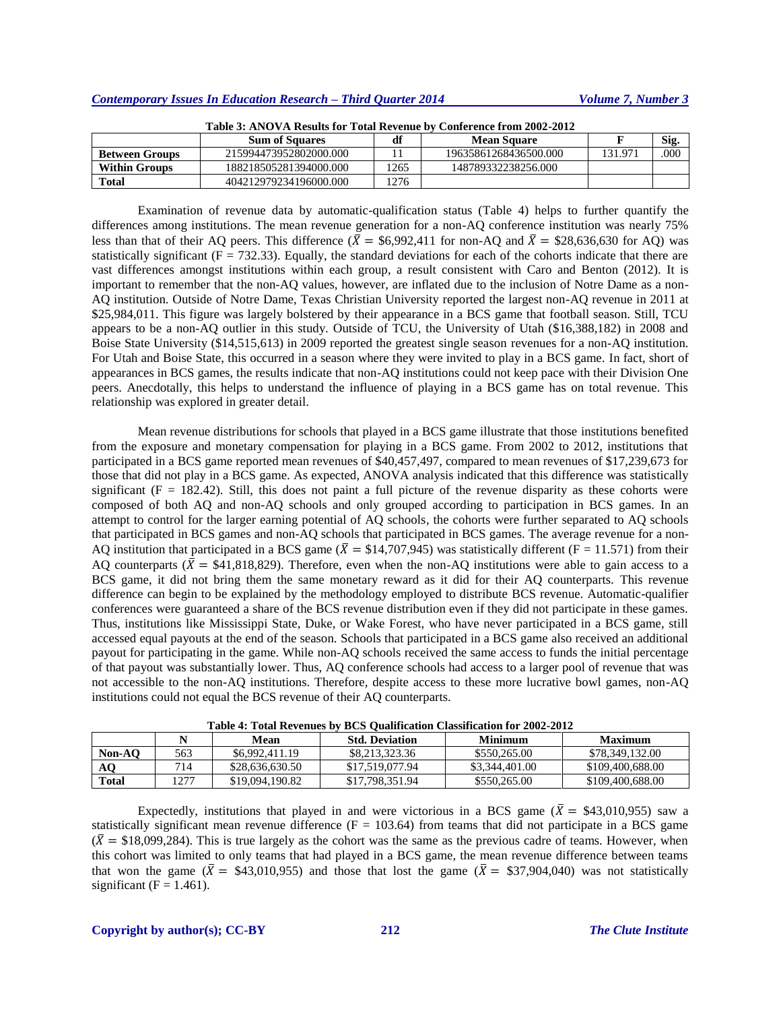| Table 9. ATTO TA INGURS IVI-TURII INTERIN DT COMELEME H'UM 2002-2012 |                        |      |                       |         |      |  |  |  |  |
|----------------------------------------------------------------------|------------------------|------|-----------------------|---------|------|--|--|--|--|
|                                                                      | <b>Sum of Squares</b>  | df   | <b>Mean Square</b>    |         | Sig. |  |  |  |  |
| <b>Between Groups</b>                                                | 215994473952802000.000 |      | 19635861268436500.000 | 131.971 | .000 |  |  |  |  |
| <b>Within Groups</b>                                                 | 188218505281394000.000 | 1265 | 148789332238256.000   |         |      |  |  |  |  |
| Total                                                                | 404212979234196000.000 | 1276 |                       |         |      |  |  |  |  |

**Table 3: ANOVA Results for Total Revenue by Conference from 2002-2012**

Examination of revenue data by automatic-qualification status (Table 4) helps to further quantify the differences among institutions. The mean revenue generation for a non-AQ conference institution was nearly 75% less than that of their AQ peers. This difference ( $\bar{X} = $6,992,411$  for non-AQ and  $\bar{X} = $28,636,630$  for AQ) was statistically significant ( $F = 732.33$ ). Equally, the standard deviations for each of the cohorts indicate that there are vast differences amongst institutions within each group, a result consistent with Caro and Benton (2012). It is important to remember that the non-AQ values, however, are inflated due to the inclusion of Notre Dame as a non-AQ institution. Outside of Notre Dame, Texas Christian University reported the largest non-AQ revenue in 2011 at \$25,984,011. This figure was largely bolstered by their appearance in a BCS game that football season. Still, TCU appears to be a non-AQ outlier in this study. Outside of TCU, the University of Utah (\$16,388,182) in 2008 and Boise State University (\$14,515,613) in 2009 reported the greatest single season revenues for a non-AQ institution. For Utah and Boise State, this occurred in a season where they were invited to play in a BCS game. In fact, short of appearances in BCS games, the results indicate that non-AQ institutions could not keep pace with their Division One peers. Anecdotally, this helps to understand the influence of playing in a BCS game has on total revenue. This relationship was explored in greater detail.

Mean revenue distributions for schools that played in a BCS game illustrate that those institutions benefited from the exposure and monetary compensation for playing in a BCS game. From 2002 to 2012, institutions that participated in a BCS game reported mean revenues of \$40,457,497, compared to mean revenues of \$17,239,673 for those that did not play in a BCS game. As expected, ANOVA analysis indicated that this difference was statistically significant ( $F = 182.42$ ). Still, this does not paint a full picture of the revenue disparity as these cohorts were composed of both AQ and non-AQ schools and only grouped according to participation in BCS games. In an attempt to control for the larger earning potential of AQ schools, the cohorts were further separated to AQ schools that participated in BCS games and non-AQ schools that participated in BCS games. The average revenue for a non-AQ institution that participated in a BCS game ( $\bar{X} = $14,707,945$ ) was statistically different (F = 11.571) from their AQ counterparts ( $\overline{X}$  = \$41,818,829). Therefore, even when the non-AQ institutions were able to gain access to a BCS game, it did not bring them the same monetary reward as it did for their AQ counterparts. This revenue difference can begin to be explained by the methodology employed to distribute BCS revenue. Automatic-qualifier conferences were guaranteed a share of the BCS revenue distribution even if they did not participate in these games. Thus, institutions like Mississippi State, Duke, or Wake Forest, who have never participated in a BCS game, still accessed equal payouts at the end of the season. Schools that participated in a BCS game also received an additional payout for participating in the game. While non-AQ schools received the same access to funds the initial percentage of that payout was substantially lower. Thus, AQ conference schools had access to a larger pool of revenue that was not accessible to the non-AQ institutions. Therefore, despite access to these more lucrative bowl games, non-AQ institutions could not equal the BCS revenue of their AQ counterparts.

|              |      | Mean            | <b>Std. Deviation</b> | Minimum        | <b>Maximum</b>   |
|--------------|------|-----------------|-----------------------|----------------|------------------|
| Non-AO       | 563  | \$6,992,411.19  | \$8,213,323,36        | \$550,265,00   | \$78,349,132.00  |
| AO           | 714  | \$28,636,630.50 | \$17.519.077.94       | \$3,344,401.00 | \$109,400,688.00 |
| <b>Total</b> | 1277 | \$19,094,190.82 | \$17,798,351.94       | \$550,265,00   | \$109,400,688.00 |

Expectedly, institutions that played in and were victorious in a BCS game ( $\overline{X}$  = \$43,010,955) saw a statistically significant mean revenue difference  $(F = 103.64)$  from teams that did not participate in a BCS game  $(\bar{X} = $18,099,284)$ . This is true largely as the cohort was the same as the previous cadre of teams. However, when this cohort was limited to only teams that had played in a BCS game, the mean revenue difference between teams that won the game ( $\bar{X} = $43,010,955$ ) and those that lost the game ( $\bar{X} = $37,904,040$ ) was not statistically significant ( $F = 1.461$ ).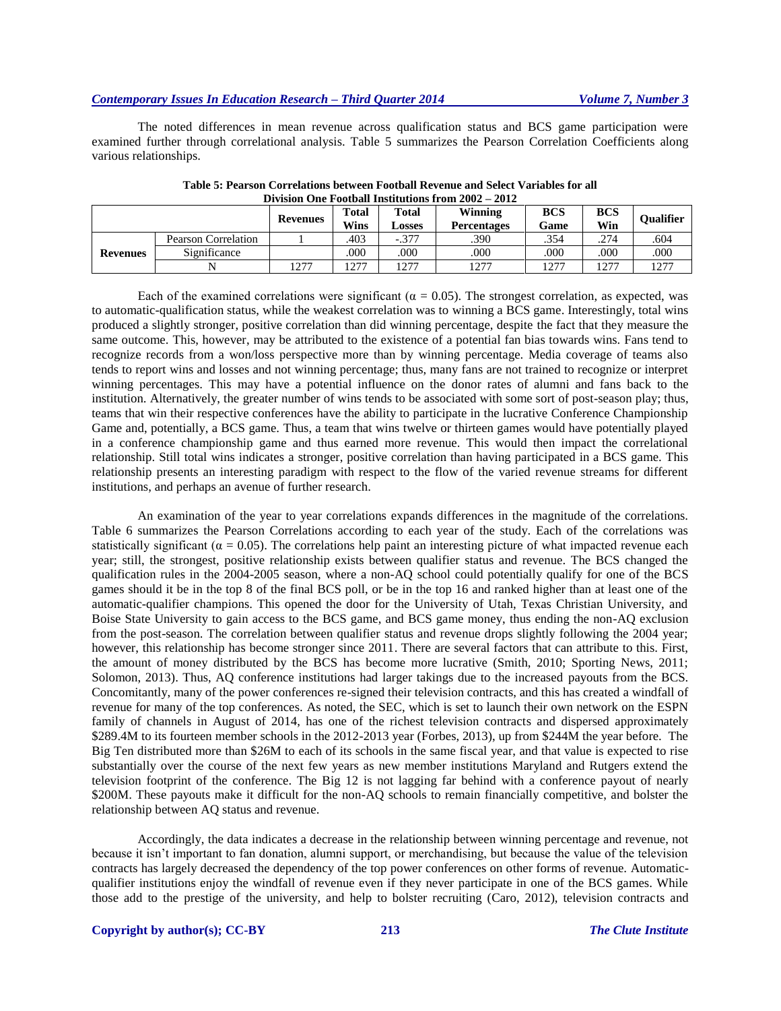The noted differences in mean revenue across qualification status and BCS game participation were examined further through correlational analysis. Table 5 summarizes the Pearson Correlation Coefficients along various relationships.

|                 |                     | <b>Revenues</b> | <b>Total</b><br>Wins | <b>Total</b><br>Losses | Winning<br><b>Percentages</b> | <b>BCS</b><br>Game | <b>BCS</b><br>Win | <b>Oualifier</b> |
|-----------------|---------------------|-----------------|----------------------|------------------------|-------------------------------|--------------------|-------------------|------------------|
| <b>Revenues</b> | Pearson Correlation |                 | .403                 | $-.377$                | .390                          | .354               | .274              | 604              |
|                 | Significance        |                 | 000                  | .000                   | .000                          | .000               | .000              | 000              |
|                 |                     | 1277            | 277                  | 277                    | 1277                          | 1277               | 1277              | 1777             |

**Table 5: Pearson Correlations between Football Revenue and Select Variables for all Division One Football Institutions from 2002 – 2012**

Each of the examined correlations were significant ( $\alpha = 0.05$ ). The strongest correlation, as expected, was to automatic-qualification status, while the weakest correlation was to winning a BCS game. Interestingly, total wins produced a slightly stronger, positive correlation than did winning percentage, despite the fact that they measure the same outcome. This, however, may be attributed to the existence of a potential fan bias towards wins. Fans tend to recognize records from a won/loss perspective more than by winning percentage. Media coverage of teams also tends to report wins and losses and not winning percentage; thus, many fans are not trained to recognize or interpret winning percentages. This may have a potential influence on the donor rates of alumni and fans back to the institution. Alternatively, the greater number of wins tends to be associated with some sort of post-season play; thus, teams that win their respective conferences have the ability to participate in the lucrative Conference Championship Game and, potentially, a BCS game. Thus, a team that wins twelve or thirteen games would have potentially played in a conference championship game and thus earned more revenue. This would then impact the correlational relationship. Still total wins indicates a stronger, positive correlation than having participated in a BCS game. This relationship presents an interesting paradigm with respect to the flow of the varied revenue streams for different institutions, and perhaps an avenue of further research.

An examination of the year to year correlations expands differences in the magnitude of the correlations. Table 6 summarizes the Pearson Correlations according to each year of the study. Each of the correlations was statistically significant ( $\alpha = 0.05$ ). The correlations help paint an interesting picture of what impacted revenue each year; still, the strongest, positive relationship exists between qualifier status and revenue. The BCS changed the qualification rules in the 2004-2005 season, where a non-AQ school could potentially qualify for one of the BCS games should it be in the top 8 of the final BCS poll, or be in the top 16 and ranked higher than at least one of the automatic-qualifier champions. This opened the door for the University of Utah, Texas Christian University, and Boise State University to gain access to the BCS game, and BCS game money, thus ending the non-AQ exclusion from the post-season. The correlation between qualifier status and revenue drops slightly following the 2004 year; however, this relationship has become stronger since 2011. There are several factors that can attribute to this. First, the amount of money distributed by the BCS has become more lucrative (Smith, 2010; Sporting News, 2011; Solomon, 2013). Thus, AQ conference institutions had larger takings due to the increased payouts from the BCS. Concomitantly, many of the power conferences re-signed their television contracts, and this has created a windfall of revenue for many of the top conferences. As noted, the SEC, which is set to launch their own network on the ESPN family of channels in August of 2014, has one of the richest television contracts and dispersed approximately \$289.4M to its fourteen member schools in the 2012-2013 year (Forbes, 2013), up from \$244M the year before. The Big Ten distributed more than \$26M to each of its schools in the same fiscal year, and that value is expected to rise substantially over the course of the next few years as new member institutions Maryland and Rutgers extend the television footprint of the conference. The Big 12 is not lagging far behind with a conference payout of nearly \$200M. These payouts make it difficult for the non-AQ schools to remain financially competitive, and bolster the relationship between AQ status and revenue.

Accordingly, the data indicates a decrease in the relationship between winning percentage and revenue, not because it isn't important to fan donation, alumni support, or merchandising, but because the value of the television contracts has largely decreased the dependency of the top power conferences on other forms of revenue. Automaticqualifier institutions enjoy the windfall of revenue even if they never participate in one of the BCS games. While those add to the prestige of the university, and help to bolster recruiting (Caro, 2012), television contracts and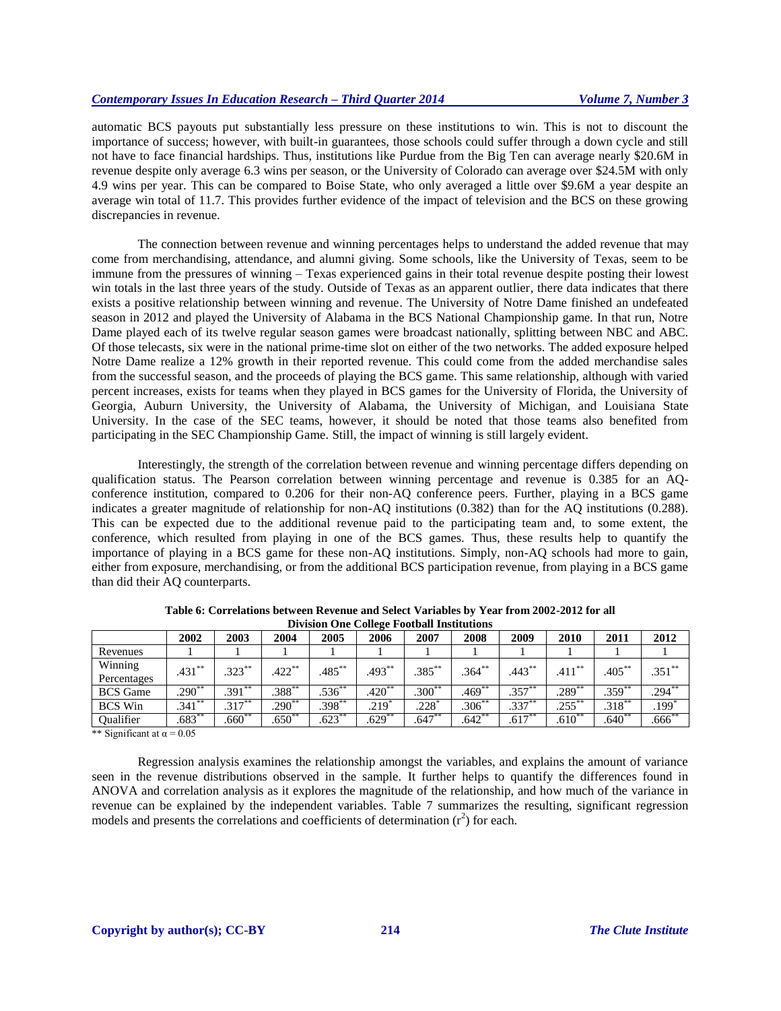automatic BCS payouts put substantially less pressure on these institutions to win. This is not to discount the importance of success; however, with built-in guarantees, those schools could suffer through a down cycle and still not have to face financial hardships. Thus, institutions like Purdue from the Big Ten can average nearly \$20.6M in revenue despite only average 6.3 wins per season, or the University of Colorado can average over \$24.5M with only 4.9 wins per year. This can be compared to Boise State, who only averaged a little over \$9.6M a year despite an average win total of 11.7. This provides further evidence of the impact of television and the BCS on these growing discrepancies in revenue.

The connection between revenue and winning percentages helps to understand the added revenue that may come from merchandising, attendance, and alumni giving. Some schools, like the University of Texas, seem to be immune from the pressures of winning – Texas experienced gains in their total revenue despite posting their lowest win totals in the last three years of the study. Outside of Texas as an apparent outlier, there data indicates that there exists a positive relationship between winning and revenue. The University of Notre Dame finished an undefeated season in 2012 and played the University of Alabama in the BCS National Championship game. In that run, Notre Dame played each of its twelve regular season games were broadcast nationally, splitting between NBC and ABC. Of those telecasts, six were in the national prime-time slot on either of the two networks. The added exposure helped Notre Dame realize a 12% growth in their reported revenue. This could come from the added merchandise sales from the successful season, and the proceeds of playing the BCS game. This same relationship, although with varied percent increases, exists for teams when they played in BCS games for the University of Florida, the University of Georgia, Auburn University, the University of Alabama, the University of Michigan, and Louisiana State University. In the case of the SEC teams, however, it should be noted that those teams also benefited from participating in the SEC Championship Game. Still, the impact of winning is still largely evident.

Interestingly, the strength of the correlation between revenue and winning percentage differs depending on qualification status. The Pearson correlation between winning percentage and revenue is 0.385 for an AQconference institution, compared to 0.206 for their non-AQ conference peers. Further, playing in a BCS game indicates a greater magnitude of relationship for non-AQ institutions (0.382) than for the AQ institutions (0.288). This can be expected due to the additional revenue paid to the participating team and, to some extent, the conference, which resulted from playing in one of the BCS games. Thus, these results help to quantify the importance of playing in a BCS game for these non-AQ institutions. Simply, non-AQ schools had more to gain, either from exposure, merchandising, or from the additional BCS participation revenue, from playing in a BCS game than did their AQ counterparts.

|                                                                                                                             |                              |           |             | ----------- |                     |           |             |           |           |             |             |
|-----------------------------------------------------------------------------------------------------------------------------|------------------------------|-----------|-------------|-------------|---------------------|-----------|-------------|-----------|-----------|-------------|-------------|
|                                                                                                                             | 2002                         | 2003      | 2004        | 2005        | 2006                | 2007      | 2008        | 2009      | 2010      | 2011        | 2012        |
| Revenues                                                                                                                    |                              |           |             |             |                     |           |             |           |           |             |             |
| Winning<br>Percentages                                                                                                      | $.431***$                    | $.323***$ | $.422$ **   | $.485***$   | $.493***$           | $.385***$ | $.364***$   | $.443***$ | $.411***$ | $.405***$   | $.351$ **   |
| <b>BCS</b> Game                                                                                                             | $.290**$                     | $.391***$ | $.388^{**}$ | $.536^{**}$ | $.420***$           | $.300**$  | $.469**$    | $.357***$ | $.289**$  | $.359^{**}$ | $.294***$   |
| <b>BCS</b> Win                                                                                                              | $.341***$                    | $.317***$ | $.290**$    | $.398***$   | $.219$ <sup>2</sup> | .228'     | $.306^{**}$ | $.337***$ | $.255***$ | $.318^{**}$ | $.199*$     |
| Qualifier                                                                                                                   | $.683***$                    | $.660**$  | $.650**$    | $.623^{**}$ | $.629**$            | $.647***$ | $.642***$   | $.617***$ | $.610***$ | $.640**$    | $.666^{**}$ |
| $\mathcal{L}_{\mathcal{L}}$ and $\mathcal{L}_{\mathcal{L}}$ and $\mathcal{L}_{\mathcal{L}}$ and $\mathcal{L}_{\mathcal{L}}$ | $\bigwedge \bigwedge \sigma$ |           |             |             |                     |           |             |           |           |             |             |

**Table 6: Correlations between Revenue and Select Variables by Year from 2002-2012 for all Division One College Football Institutions**

\*\* Significant at  $\alpha$  = 0.05

Regression analysis examines the relationship amongst the variables, and explains the amount of variance seen in the revenue distributions observed in the sample. It further helps to quantify the differences found in ANOVA and correlation analysis as it explores the magnitude of the relationship, and how much of the variance in revenue can be explained by the independent variables. Table 7 summarizes the resulting, significant regression models and presents the correlations and coefficients of determination  $(r^2)$  for each.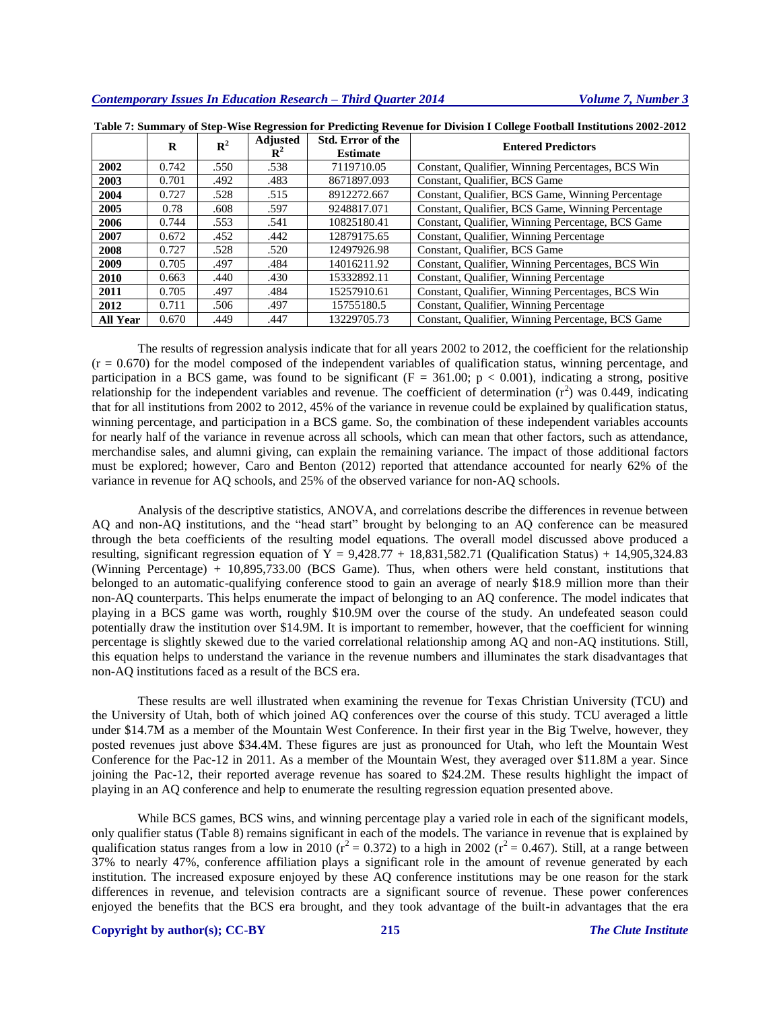|                 | R     | $\mathbf{R}^2$ | <b>Adjusted</b><br>$\mathbf{R}^2$ | <b>Std. Error of the</b><br><b>Estimate</b> | <b>Entered Predictors</b>                         |
|-----------------|-------|----------------|-----------------------------------|---------------------------------------------|---------------------------------------------------|
| 2002            | 0.742 | .550           | .538                              | 7119710.05                                  | Constant, Qualifier, Winning Percentages, BCS Win |
| 2003            | 0.701 | .492           | .483                              | 8671897.093                                 | Constant, Qualifier, BCS Game                     |
| 2004            | 0.727 | .528           | .515                              | 8912272.667                                 | Constant, Qualifier, BCS Game, Winning Percentage |
| 2005            | 0.78  | .608           | .597                              | 9248817.071                                 | Constant, Qualifier, BCS Game, Winning Percentage |
| 2006            | 0.744 | .553           | .541                              | 10825180.41                                 | Constant, Qualifier, Winning Percentage, BCS Game |
| 2007            | 0.672 | .452           | .442                              | 12879175.65                                 | Constant, Qualifier, Winning Percentage           |
| 2008            | 0.727 | .528           | .520                              | 12497926.98                                 | Constant, Qualifier, BCS Game                     |
| 2009            | 0.705 | .497           | .484                              | 14016211.92                                 | Constant, Qualifier, Winning Percentages, BCS Win |
| 2010            | 0.663 | .440           | .430                              | 15332892.11                                 | Constant, Qualifier, Winning Percentage           |
| 2011            | 0.705 | .497           | .484                              | 15257910.61                                 | Constant, Qualifier, Winning Percentages, BCS Win |
| 2012            | 0.711 | .506           | .497                              | 15755180.5                                  | Constant, Qualifier, Winning Percentage           |
| <b>All Year</b> | 0.670 | .449           | .447                              | 13229705.73                                 | Constant, Qualifier, Winning Percentage, BCS Game |

**Table 7: Summary of Step-Wise Regression for Predicting Revenue for Division I College Football Institutions 2002-2012**

The results of regression analysis indicate that for all years 2002 to 2012, the coefficient for the relationship  $(r = 0.670)$  for the model composed of the independent variables of qualification status, winning percentage, and participation in a BCS game, was found to be significant ( $F = 361.00$ ;  $p < 0.001$ ), indicating a strong, positive relationship for the independent variables and revenue. The coefficient of determination  $(r^2)$  was 0.449, indicating that for all institutions from 2002 to 2012, 45% of the variance in revenue could be explained by qualification status, winning percentage, and participation in a BCS game. So, the combination of these independent variables accounts for nearly half of the variance in revenue across all schools, which can mean that other factors, such as attendance, merchandise sales, and alumni giving, can explain the remaining variance. The impact of those additional factors must be explored; however, Caro and Benton (2012) reported that attendance accounted for nearly 62% of the variance in revenue for AQ schools, and 25% of the observed variance for non-AQ schools.

Analysis of the descriptive statistics, ANOVA, and correlations describe the differences in revenue between AQ and non-AQ institutions, and the "head start" brought by belonging to an AQ conference can be measured through the beta coefficients of the resulting model equations. The overall model discussed above produced a resulting, significant regression equation of  $Y = 9,428.77 + 18,831,582.71$  (Qualification Status) + 14,905,324.83 (Winning Percentage) + 10,895,733.00 (BCS Game). Thus, when others were held constant, institutions that belonged to an automatic-qualifying conference stood to gain an average of nearly \$18.9 million more than their non-AQ counterparts. This helps enumerate the impact of belonging to an AQ conference. The model indicates that playing in a BCS game was worth, roughly \$10.9M over the course of the study. An undefeated season could potentially draw the institution over \$14.9M. It is important to remember, however, that the coefficient for winning percentage is slightly skewed due to the varied correlational relationship among AQ and non-AQ institutions. Still, this equation helps to understand the variance in the revenue numbers and illuminates the stark disadvantages that non-AQ institutions faced as a result of the BCS era.

These results are well illustrated when examining the revenue for Texas Christian University (TCU) and the University of Utah, both of which joined AQ conferences over the course of this study. TCU averaged a little under \$14.7M as a member of the Mountain West Conference. In their first year in the Big Twelve, however, they posted revenues just above \$34.4M. These figures are just as pronounced for Utah, who left the Mountain West Conference for the Pac-12 in 2011. As a member of the Mountain West, they averaged over \$11.8M a year. Since joining the Pac-12, their reported average revenue has soared to \$24.2M. These results highlight the impact of playing in an AQ conference and help to enumerate the resulting regression equation presented above.

While BCS games, BCS wins, and winning percentage play a varied role in each of the significant models, only qualifier status (Table 8) remains significant in each of the models. The variance in revenue that is explained by qualification status ranges from a low in 2010 ( $r^2$  = 0.372) to a high in 2002 ( $r^2$  = 0.467). Still, at a range between 37% to nearly 47%, conference affiliation plays a significant role in the amount of revenue generated by each institution. The increased exposure enjoyed by these AQ conference institutions may be one reason for the stark differences in revenue, and television contracts are a significant source of revenue. These power conferences enjoyed the benefits that the BCS era brought, and they took advantage of the built-in advantages that the era

# **Copyright by author(s)[; CC-BY](http://creativecommons.org/licenses/by/3.0/) 215** *[The Clute Institute](http://www.cluteinstitute.com/)*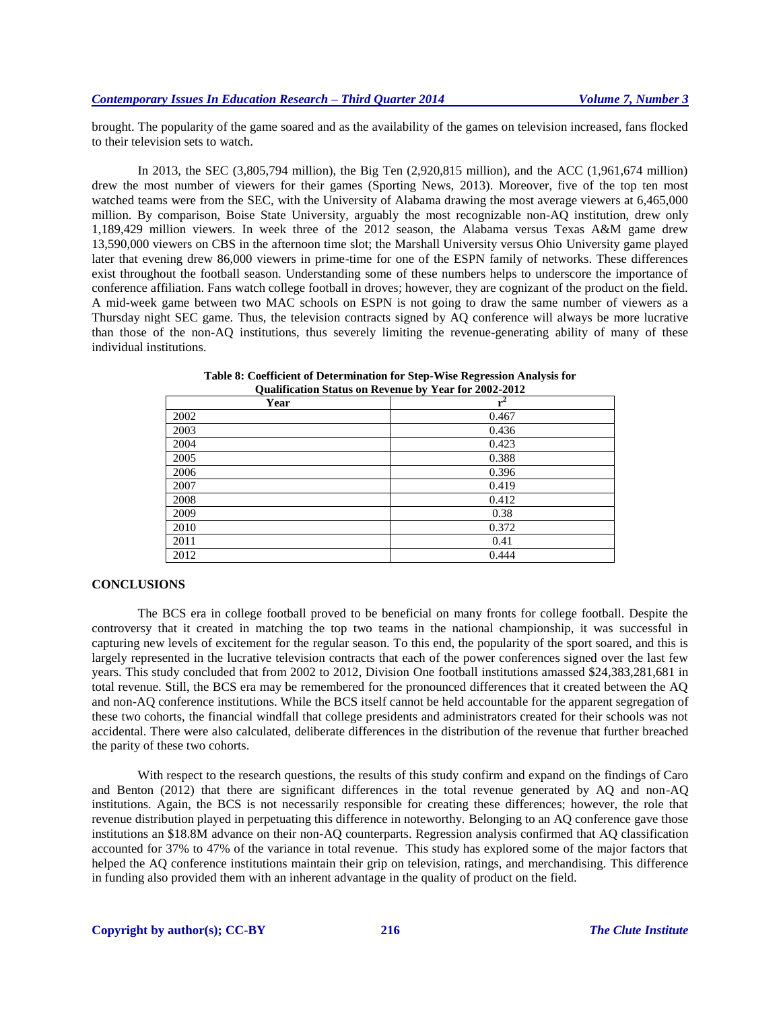brought. The popularity of the game soared and as the availability of the games on television increased, fans flocked to their television sets to watch.

In 2013, the SEC (3,805,794 million), the Big Ten (2,920,815 million), and the ACC (1,961,674 million) drew the most number of viewers for their games (Sporting News, 2013). Moreover, five of the top ten most watched teams were from the SEC, with the University of Alabama drawing the most average viewers at 6,465,000 million. By comparison, Boise State University, arguably the most recognizable non-AQ institution, drew only 1,189,429 million viewers. In week three of the 2012 season, the Alabama versus Texas A&M game drew 13,590,000 viewers on CBS in the afternoon time slot; the Marshall University versus Ohio University game played later that evening drew 86,000 viewers in prime-time for one of the ESPN family of networks. These differences exist throughout the football season. Understanding some of these numbers helps to underscore the importance of conference affiliation. Fans watch college football in droves; however, they are cognizant of the product on the field. A mid-week game between two MAC schools on ESPN is not going to draw the same number of viewers as a Thursday night SEC game. Thus, the television contracts signed by AQ conference will always be more lucrative than those of the non-AQ institutions, thus severely limiting the revenue-generating ability of many of these individual institutions.

| Year | $r^2$ |
|------|-------|
| 2002 | 0.467 |
| 2003 | 0.436 |
| 2004 | 0.423 |
| 2005 | 0.388 |
| 2006 | 0.396 |
| 2007 | 0.419 |
| 2008 | 0.412 |
| 2009 | 0.38  |
| 2010 | 0.372 |
| 2011 | 0.41  |
| 2012 | 0.444 |

**Table 8: Coefficient of Determination for Step-Wise Regression Analysis for Qualification Status on Revenue by Year for 2002-2012**

# **CONCLUSIONS**

The BCS era in college football proved to be beneficial on many fronts for college football. Despite the controversy that it created in matching the top two teams in the national championship, it was successful in capturing new levels of excitement for the regular season. To this end, the popularity of the sport soared, and this is largely represented in the lucrative television contracts that each of the power conferences signed over the last few years. This study concluded that from 2002 to 2012, Division One football institutions amassed \$24,383,281,681 in total revenue. Still, the BCS era may be remembered for the pronounced differences that it created between the AQ and non-AQ conference institutions. While the BCS itself cannot be held accountable for the apparent segregation of these two cohorts, the financial windfall that college presidents and administrators created for their schools was not accidental. There were also calculated, deliberate differences in the distribution of the revenue that further breached the parity of these two cohorts.

With respect to the research questions, the results of this study confirm and expand on the findings of Caro and Benton (2012) that there are significant differences in the total revenue generated by AQ and non-AQ institutions. Again, the BCS is not necessarily responsible for creating these differences; however, the role that revenue distribution played in perpetuating this difference in noteworthy. Belonging to an AQ conference gave those institutions an \$18.8M advance on their non-AQ counterparts. Regression analysis confirmed that AQ classification accounted for 37% to 47% of the variance in total revenue. This study has explored some of the major factors that helped the AQ conference institutions maintain their grip on television, ratings, and merchandising. This difference in funding also provided them with an inherent advantage in the quality of product on the field.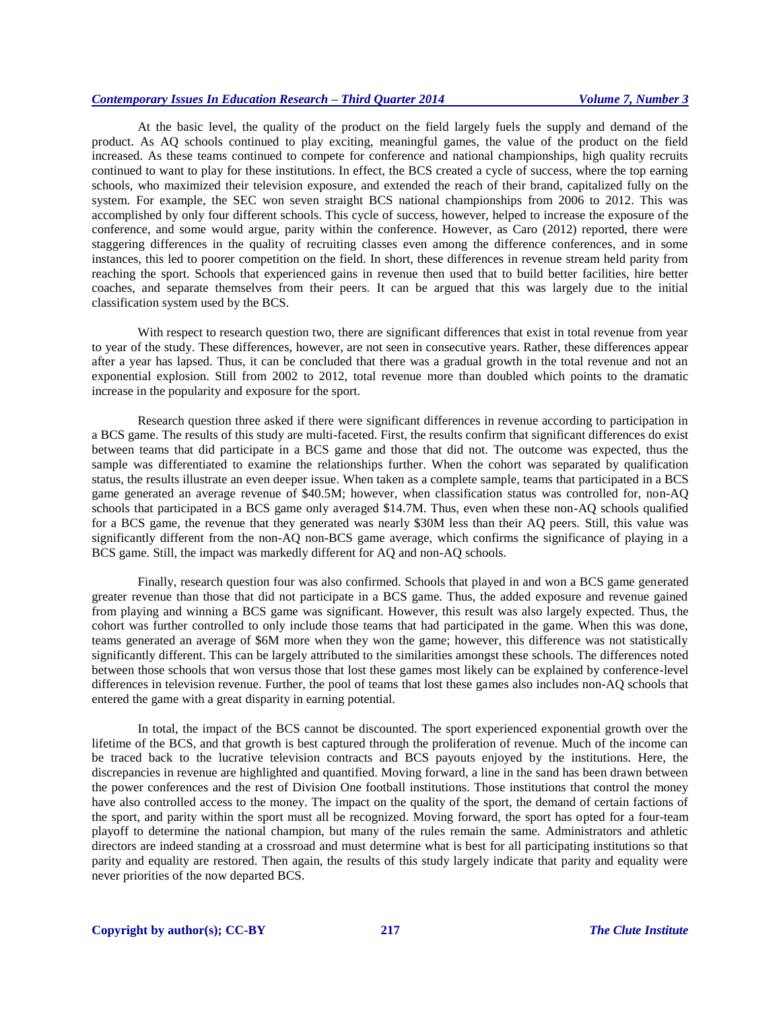At the basic level, the quality of the product on the field largely fuels the supply and demand of the product. As AQ schools continued to play exciting, meaningful games, the value of the product on the field increased. As these teams continued to compete for conference and national championships, high quality recruits continued to want to play for these institutions. In effect, the BCS created a cycle of success, where the top earning schools, who maximized their television exposure, and extended the reach of their brand, capitalized fully on the system. For example, the SEC won seven straight BCS national championships from 2006 to 2012. This was accomplished by only four different schools. This cycle of success, however, helped to increase the exposure of the conference, and some would argue, parity within the conference. However, as Caro (2012) reported, there were staggering differences in the quality of recruiting classes even among the difference conferences, and in some instances, this led to poorer competition on the field. In short, these differences in revenue stream held parity from reaching the sport. Schools that experienced gains in revenue then used that to build better facilities, hire better coaches, and separate themselves from their peers. It can be argued that this was largely due to the initial classification system used by the BCS.

With respect to research question two, there are significant differences that exist in total revenue from year to year of the study. These differences, however, are not seen in consecutive years. Rather, these differences appear after a year has lapsed. Thus, it can be concluded that there was a gradual growth in the total revenue and not an exponential explosion. Still from 2002 to 2012, total revenue more than doubled which points to the dramatic increase in the popularity and exposure for the sport.

Research question three asked if there were significant differences in revenue according to participation in a BCS game. The results of this study are multi-faceted. First, the results confirm that significant differences do exist between teams that did participate in a BCS game and those that did not. The outcome was expected, thus the sample was differentiated to examine the relationships further. When the cohort was separated by qualification status, the results illustrate an even deeper issue. When taken as a complete sample, teams that participated in a BCS game generated an average revenue of \$40.5M; however, when classification status was controlled for, non-AQ schools that participated in a BCS game only averaged \$14.7M. Thus, even when these non-AQ schools qualified for a BCS game, the revenue that they generated was nearly \$30M less than their AQ peers. Still, this value was significantly different from the non-AQ non-BCS game average, which confirms the significance of playing in a BCS game. Still, the impact was markedly different for AQ and non-AQ schools.

Finally, research question four was also confirmed. Schools that played in and won a BCS game generated greater revenue than those that did not participate in a BCS game. Thus, the added exposure and revenue gained from playing and winning a BCS game was significant. However, this result was also largely expected. Thus, the cohort was further controlled to only include those teams that had participated in the game. When this was done, teams generated an average of \$6M more when they won the game; however, this difference was not statistically significantly different. This can be largely attributed to the similarities amongst these schools. The differences noted between those schools that won versus those that lost these games most likely can be explained by conference-level differences in television revenue. Further, the pool of teams that lost these games also includes non-AQ schools that entered the game with a great disparity in earning potential.

In total, the impact of the BCS cannot be discounted. The sport experienced exponential growth over the lifetime of the BCS, and that growth is best captured through the proliferation of revenue. Much of the income can be traced back to the lucrative television contracts and BCS payouts enjoyed by the institutions. Here, the discrepancies in revenue are highlighted and quantified. Moving forward, a line in the sand has been drawn between the power conferences and the rest of Division One football institutions. Those institutions that control the money have also controlled access to the money. The impact on the quality of the sport, the demand of certain factions of the sport, and parity within the sport must all be recognized. Moving forward, the sport has opted for a four-team playoff to determine the national champion, but many of the rules remain the same. Administrators and athletic directors are indeed standing at a crossroad and must determine what is best for all participating institutions so that parity and equality are restored. Then again, the results of this study largely indicate that parity and equality were never priorities of the now departed BCS.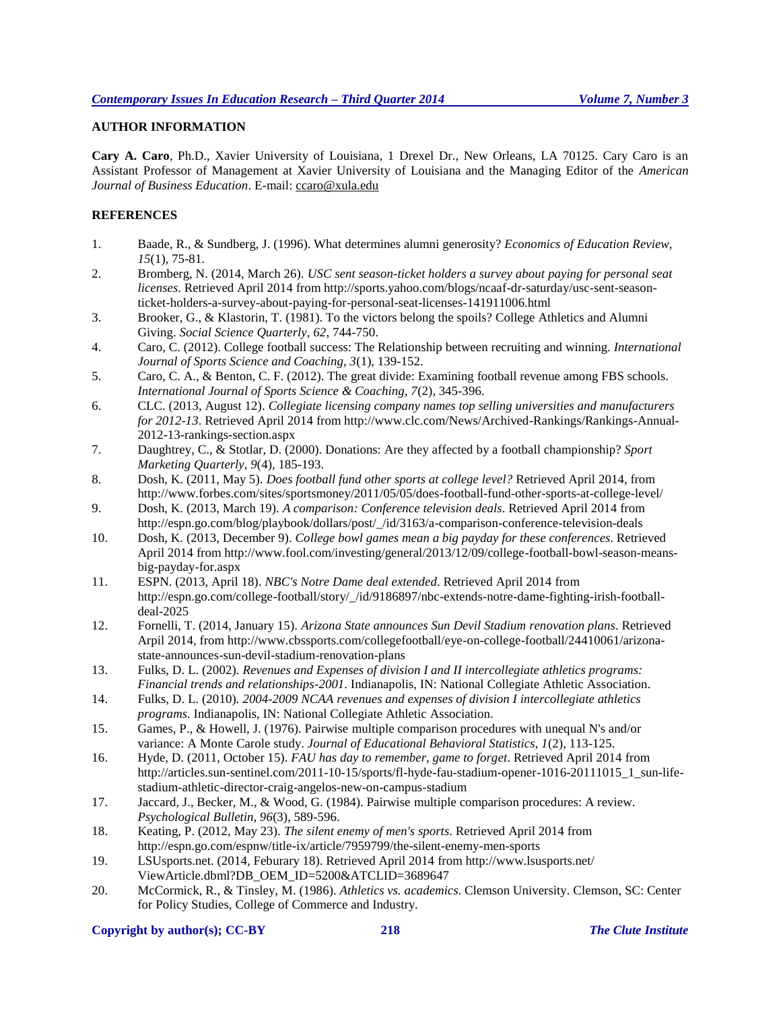# **AUTHOR INFORMATION**

**Cary A. Caro**, Ph.D., Xavier University of Louisiana, 1 Drexel Dr., New Orleans, LA 70125. Cary Caro is an Assistant Professor of Management at Xavier University of Louisiana and the Managing Editor of the *American Journal of Business Education*. E-mail: [ccaro@xula.edu](mailto:ccaro@xula.edu)

# **REFERENCES**

- 1. Baade, R., & Sundberg, J. (1996). What determines alumni generosity? *Economics of Education Review, 15*(1), 75-81.
- 2. Bromberg, N. (2014, March 26). *USC sent season-ticket holders a survey about paying for personal seat licenses*. Retrieved April 2014 from http://sports.yahoo.com/blogs/ncaaf-dr-saturday/usc-sent-seasonticket-holders-a-survey-about-paying-for-personal-seat-licenses-141911006.html
- 3. Brooker, G., & Klastorin, T. (1981). To the victors belong the spoils? College Athletics and Alumni Giving. *Social Science Quarterly, 62*, 744-750.
- 4. Caro, C. (2012). College football success: The Relationship between recruiting and winning. *International Journal of Sports Science and Coaching, 3*(1), 139-152.
- 5. Caro, C. A., & Benton, C. F. (2012). The great divide: Examining football revenue among FBS schools. *International Journal of Sports Science & Coaching, 7*(2), 345-396.
- 6. CLC. (2013, August 12). *Collegiate licensing company names top selling universities and manufacturers for 2012-13*. Retrieved April 2014 from http://www.clc.com/News/Archived-Rankings/Rankings-Annual-2012-13-rankings-section.aspx
- 7. Daughtrey, C., & Stotlar, D. (2000). Donations: Are they affected by a football championship? *Sport Marketing Quarterly, 9*(4), 185-193.
- 8. Dosh, K. (2011, May 5). *Does football fund other sports at college level?* Retrieved April 2014, from http://www.forbes.com/sites/sportsmoney/2011/05/05/does-football-fund-other-sports-at-college-level/
- 9. Dosh, K. (2013, March 19). *A comparison: Conference television deals*. Retrieved April 2014 from http://espn.go.com/blog/playbook/dollars/post/\_/id/3163/a-comparison-conference-television-deals
- 10. Dosh, K. (2013, December 9). *College bowl games mean a big payday for these conferences*. Retrieved April 2014 from http://www.fool.com/investing/general/2013/12/09/college-football-bowl-season-meansbig-payday-for.aspx
- 11. ESPN. (2013, April 18). *NBC's Notre Dame deal extended*. Retrieved April 2014 from http://espn.go.com/college-football/story/\_/id/9186897/nbc-extends-notre-dame-fighting-irish-footballdeal-2025
- 12. Fornelli, T. (2014, January 15). *Arizona State announces Sun Devil Stadium renovation plans*. Retrieved Arpil 2014, from http://www.cbssports.com/collegefootball/eye-on-college-football/24410061/arizonastate-announces-sun-devil-stadium-renovation-plans
- 13. Fulks, D. L. (2002). *Revenues and Expenses of division I and II intercollegiate athletics programs: Financial trends and relationships-2001*. Indianapolis, IN: National Collegiate Athletic Association.
- 14. Fulks, D. L. (2010). *2004-2009 NCAA revenues and expenses of division I intercollegiate athletics programs*. Indianapolis, IN: National Collegiate Athletic Association.
- 15. Games, P., & Howell, J. (1976). Pairwise multiple comparison procedures with unequal N's and/or variance: A Monte Carole study. *Journal of Educational Behavioral Statistics, 1*(2), 113-125.
- 16. Hyde, D. (2011, October 15). *FAU has day to remember, game to forget*. Retrieved April 2014 from http://articles.sun-sentinel.com/2011-10-15/sports/fl-hyde-fau-stadium-opener-1016-20111015\_1\_sun-lifestadium-athletic-director-craig-angelos-new-on-campus-stadium
- 17. Jaccard, J., Becker, M., & Wood, G. (1984). Pairwise multiple comparison procedures: A review. *Psychological Bulletin, 96*(3), 589-596.
- 18. Keating, P. (2012, May 23). *The silent enemy of men's sports*. Retrieved April 2014 from http://espn.go.com/espnw/title-ix/article/7959799/the-silent-enemy-men-sports
- 19. LSUsports.net. (2014, Feburary 18). Retrieved April 2014 from http://www.lsusports.net/ ViewArticle.dbml?DB\_OEM\_ID=5200&ATCLID=3689647
- 20. McCormick, R., & Tinsley, M. (1986). *Athletics vs. academics*. Clemson University. Clemson, SC: Center for Policy Studies, College of Commerce and Industry.

# **Copyright by author(s)[; CC-BY](http://creativecommons.org/licenses/by/3.0/) 218** *[The Clute Institute](http://www.cluteinstitute.com/)*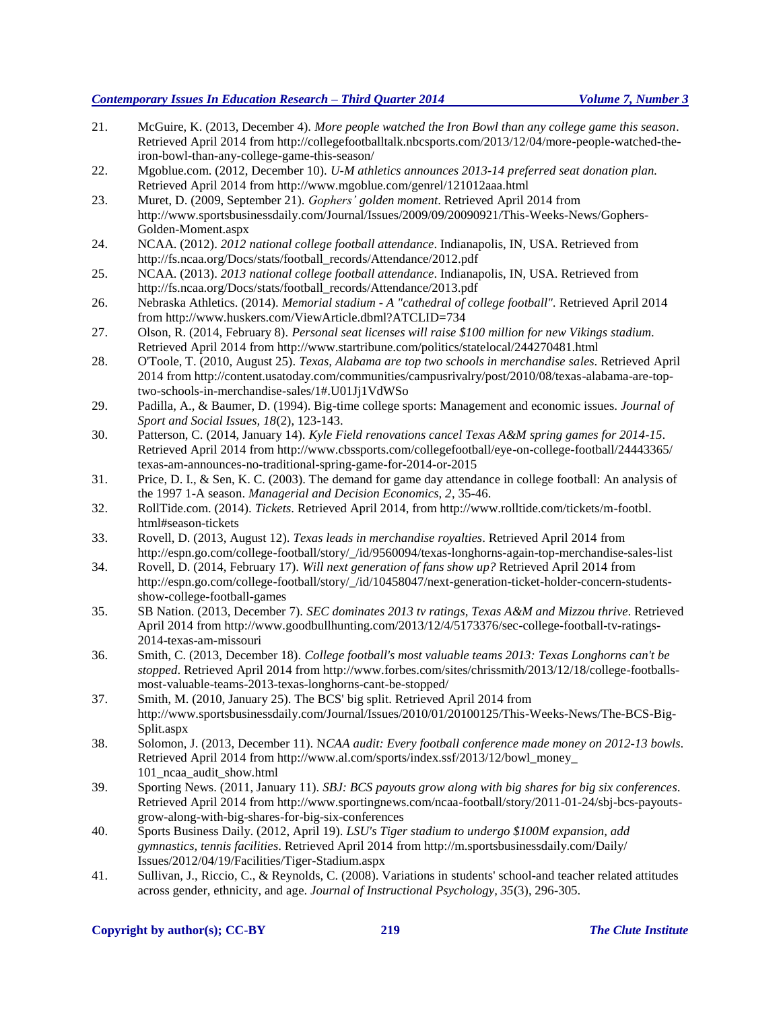- 21. McGuire, K. (2013, December 4). *More people watched the Iron Bowl than any college game this season*. Retrieved April 2014 from http://collegefootballtalk.nbcsports.com/2013/12/04/more-people-watched-theiron-bowl-than-any-college-game-this-season/
- 22. Mgoblue.com. (2012, December 10). *U-M athletics announces 2013-14 preferred seat donation plan.* Retrieved April 2014 from http://www.mgoblue.com/genrel/121012aaa.html
- 23. Muret, D. (2009, September 21). *Gophers' golden moment*. Retrieved April 2014 from http://www.sportsbusinessdaily.com/Journal/Issues/2009/09/20090921/This-Weeks-News/Gophers-Golden-Moment.aspx
- 24. NCAA. (2012). *2012 national college football attendance*. Indianapolis, IN, USA. Retrieved from http://fs.ncaa.org/Docs/stats/football\_records/Attendance/2012.pdf
- 25. NCAA. (2013). *2013 national college football attendance*. Indianapolis, IN, USA. Retrieved from http://fs.ncaa.org/Docs/stats/football\_records/Attendance/2013.pdf
- 26. Nebraska Athletics. (2014). *Memorial stadium - A "cathedral of college football".* Retrieved April 2014 from http://www.huskers.com/ViewArticle.dbml?ATCLID=734
- 27. Olson, R. (2014, February 8). *Personal seat licenses will raise \$100 million for new Vikings stadium*. Retrieved April 2014 from http://www.startribune.com/politics/statelocal/244270481.html
- 28. O'Toole, T. (2010, August 25). *Texas, Alabama are top two schools in merchandise sales*. Retrieved April 2014 from http://content.usatoday.com/communities/campusrivalry/post/2010/08/texas-alabama-are-toptwo-schools-in-merchandise-sales/1#.U01Jj1VdWSo
- 29. Padilla, A., & Baumer, D. (1994). Big-time college sports: Management and economic issues. *Journal of Sport and Social Issues, 18*(2), 123-143.
- 30. Patterson, C. (2014, January 14). *Kyle Field renovations cancel Texas A&M spring games for 2014-15*. Retrieved April 2014 from http://www.cbssports.com/collegefootball/eye-on-college-football/24443365/ texas-am-announces-no-traditional-spring-game-for-2014-or-2015
- 31. Price, D. I., & Sen, K. C. (2003). The demand for game day attendance in college football: An analysis of the 1997 1-A season. *Managerial and Decision Economics, 2*, 35-46.
- 32. RollTide.com. (2014). *Tickets*. Retrieved April 2014, from http://www.rolltide.com/tickets/m-footbl. html#season-tickets
- 33. Rovell, D. (2013, August 12). *Texas leads in merchandise royalties*. Retrieved April 2014 from http://espn.go.com/college-football/story/\_/id/9560094/texas-longhorns-again-top-merchandise-sales-list
- 34. Rovell, D. (2014, February 17). *Will next generation of fans show up?* Retrieved April 2014 from http://espn.go.com/college-football/story/\_/id/10458047/next-generation-ticket-holder-concern-studentsshow-college-football-games
- 35. SB Nation. (2013, December 7). *SEC dominates 2013 tv ratings, Texas A&M and Mizzou thrive*. Retrieved April 2014 from http://www.goodbullhunting.com/2013/12/4/5173376/sec-college-football-tv-ratings-2014-texas-am-missouri
- 36. Smith, C. (2013, December 18). *College football's most valuable teams 2013: Texas Longhorns can't be stopped*. Retrieved April 2014 from http://www.forbes.com/sites/chrissmith/2013/12/18/college-footballsmost-valuable-teams-2013-texas-longhorns-cant-be-stopped/
- 37. Smith, M. (2010, January 25). The BCS' big split. Retrieved April 2014 from http://www.sportsbusinessdaily.com/Journal/Issues/2010/01/20100125/This-Weeks-News/The-BCS-Big-Split.aspx
- 38. Solomon, J. (2013, December 11). N*CAA audit: Every football conference made money on 2012-13 bowls*. Retrieved April 2014 from http://www.al.com/sports/index.ssf/2013/12/bowl\_money\_ 101\_ncaa\_audit\_show.html
- 39. Sporting News. (2011, January 11). *SBJ: BCS payouts grow along with big shares for big six conferences*. Retrieved April 2014 from http://www.sportingnews.com/ncaa-football/story/2011-01-24/sbj-bcs-payoutsgrow-along-with-big-shares-for-big-six-conferences
- 40. Sports Business Daily. (2012, April 19). *LSU's Tiger stadium to undergo \$100M expansion, add gymnastics, tennis facilities*. Retrieved April 2014 from http://m.sportsbusinessdaily.com/Daily/ Issues/2012/04/19/Facilities/Tiger-Stadium.aspx
- 41. Sullivan, J., Riccio, C., & Reynolds, C. (2008). Variations in students' school-and teacher related attitudes across gender, ethnicity, and age. *Journal of Instructional Psychology, 35*(3), 296-305.